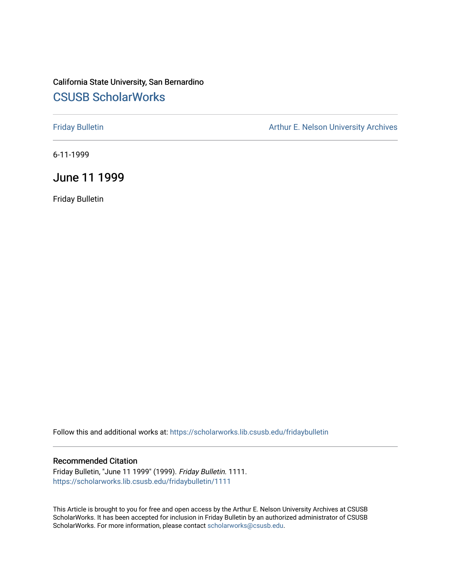### California State University, San Bernardino [CSUSB ScholarWorks](https://scholarworks.lib.csusb.edu/)

[Friday Bulletin](https://scholarworks.lib.csusb.edu/fridaybulletin) **Arthur E. Nelson University Archives** Arthur E. Nelson University Archives

6-11-1999

#### June 11 1999

Friday Bulletin

Follow this and additional works at: [https://scholarworks.lib.csusb.edu/fridaybulletin](https://scholarworks.lib.csusb.edu/fridaybulletin?utm_source=scholarworks.lib.csusb.edu%2Ffridaybulletin%2F1111&utm_medium=PDF&utm_campaign=PDFCoverPages)

#### Recommended Citation

Friday Bulletin, "June 11 1999" (1999). Friday Bulletin. 1111. [https://scholarworks.lib.csusb.edu/fridaybulletin/1111](https://scholarworks.lib.csusb.edu/fridaybulletin/1111?utm_source=scholarworks.lib.csusb.edu%2Ffridaybulletin%2F1111&utm_medium=PDF&utm_campaign=PDFCoverPages) 

This Article is brought to you for free and open access by the Arthur E. Nelson University Archives at CSUSB ScholarWorks. It has been accepted for inclusion in Friday Bulletin by an authorized administrator of CSUSB ScholarWorks. For more information, please contact [scholarworks@csusb.edu.](mailto:scholarworks@csusb.edu)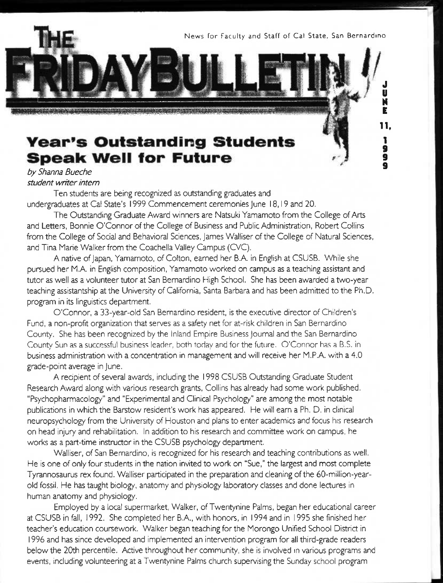News for Faculty and Staff of Cal State, San Bernardino

**n.** 

1 **9 9** 

J **u**  M E

## **Year's Outstanding Students Speak Well for Future**<br>by Shanna Bueche

*student writer intern* 

Ten students are being recognized as outstanding graduates and undergraduates at Cal State's 1999 Commencement ceremonies June 18,19 and 20,

The Outstanding Graduate Award winners are Natsuki Yamamoto from the College of Arts and Letters, Bonnie O'Connor of the College of Business and Public Administration, Robert Collins from the College of Social and Behavioral Sciences, James Walliser of the College of Natural Sciences, and Tina Marie Walker from the Coachella Valley Campus (CVC).

A native of Japan, Yamamoto, of Colton, earned her B.A. in English at CSUSB. While she pursued her M.A. in English composition, Yamamoto worked on campus as a teaching assistant and tutor as well as a volunteer tutor at San Bernardino High School. She has been awarded a two-year teaching assistantship at the University of California, Santa Barbara and has been admitted to the Ph.D. program in its linguistics department.

O'Connor, a 33-year-old San Bernardino resident, is the executive director of Children's Fund, a non-profit organization that serves as a safety net for at-risk children in San Bernardino County. She has been recognized by the Inland Empire Business Journal and the San Bernardino County Sun as a successful business leader, both today and for the future. O'Connor has a B.S. in business administration with a concentration in management and will receive her M.P.A. with a 4.0 grade-point average in June.

A recipient of several awards, including the 1998 CSUSB Outstanding Graduate Student Research Award along with various research grants, Collins has already had some work published. "Psychopharmacology" and "Experimental and Clinical Psychology" are among the most notable publications in which the Barstow resident's work has appeared. He will earn a Ph. D. in clinical neuropsychology from the University of Houston and plans to enter academics and focus his research on head injury and rehabilitation. In addition to his research and committee work on campus, he works as a part-time instructor in the CSUSB psychology department,

Walliser, of San Bernardino, is recognized for his research and teaching contributions as well. He is one of only four students in the nation invited to work on "Sue," the largest and most complete Tyrannosaurus rex found. Walliser participated in the preparation and cleaning of the 60-million-yearold fossil. He has taught biology, anatomy and physiology laboratory classes and done lectures in human anatomy and physiology.

Employed by a local supermarket. Walker, of Twentynine Palms, began her educational career at CSUSB in fall, 1992. She completed her B.A., with honors, in 1994 and in 1995 she finished her teacher's education coursework. Walker began teaching for the Morongo Unified School District in 1996 and has since developed and implemented an intervention program for all third-grade readers below the 20th percentile. Active throughout her community, she is involved in various programs and events, including volunteering at a Twentynine Palms church supervising the Sunday school program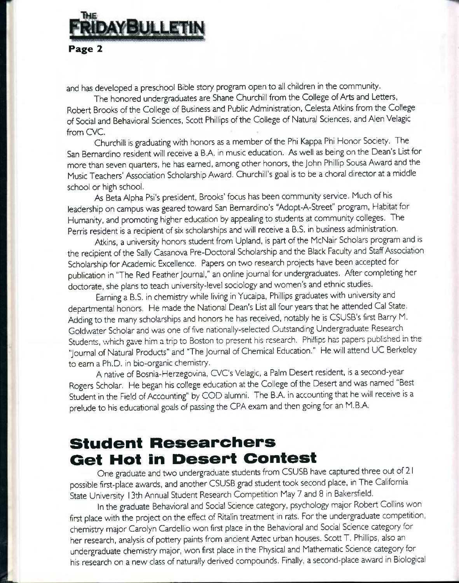# **DAYBULLETIN**

#### Page 2

and has developed a preschool Bible story program open to all children in the community.

The honored undergraduates are Shane Churchill from the College of Arts and Letters, Robert Brooks of the College of Business and Public Administration, Celesta Atkins from the College of Social and Behavioral Sciences. Scott Phillips of the College of Natural Sciences, and Alen Velagic from CVC.

Churchill is graduating with honors as a member of the Phi Kappa Phi Honor Society. The San Bernardino resident will receive a B.A. in music education. As well as being on the Dean's List for more than seven quarters, he has earned, among other honors, the John Phillip Sousa Award and the Music Teachers' Association Scholarship Award, Churchill's goal is to be a choral director at a middle school or high school.

As Beta Alpha Psi's president, Brooks' focus has been community service. Much of his leadership on campus was geared toward San Bernardino's "Adopt-A-Street" program, Habitat for Humanity, and promoting higher education by appealing to students at community colleges. The Perris resident is a recipient of six scholarships and will receive a B.S. in business administration.

Atkins, a university honors student from Upland, is part of the McNair Scholars program and is the recipient of the Sally Casanova Pre-Doctoral Scholarship and the Black Faculty and Staff Association Scholarship for Academic Excellence, Papers on two research projects have been accepted for publication in "The Red Feather Journal," an online journal for undergraduates. After completing her doctorate, she plans to teach university-level sociology and women's and ethnic studies.

Earning a B.S. in chemistry while living in Yucaipa, Phillips graduates with university and departmental honors. He made the National Dean's List all four years that he attended Cal State. Adding to the many scholarships and honors he has received, notably he is CSUSB's first Barry M. Goldwater Scholar and was one of five nationally-selected Outstanding Undergraduate Research Students, which gave him atrip to Boston to present his research. Phillips has papers published in the "Journal of Natural Products" and "The Journal of Chemical Education." He will attend UC Berkeley to earn a Ph.D. in bio-organic chemistry.

A native of Bosnia-Herzegovina, CVC's Velagic, a Palm Desert resident, is a second-year Rogers Scholar. He began his college education at the College of the Desert and was named "Best Student in the Field of Accounting" by COD alumni. The B.A. in accounting that he will receive is a prelude to his educational goals of passing the CPA exam and then going for an M.B.A.

## **student Researchers Get Hot in Desert Contest**

One graduate and two undergraduate students from CSUSB have captured three out of 21 possible first-place awards, and another CSUSB grad student took second place, in The California State University 13th Annual Student Research Competition May 7 and 8 in Bakersfield.

In the graduate Behavioral and Social Science category, psychology major Robert Collins won first place with the project on the effect of Ritalin treatment in rats. For the undergraduate competition, chemistry major Carolyn Cardellio won first place in the Behavioral and Social Science category for her research, analysis of pottery paints from ancient Aztec urban houses. Scott T. Phillips, also an undergraduate chemistry major, won first place in the Physical and Mathematic Science category for his research on a new class of naturally derived compounds. Finally, a second-place award in Biological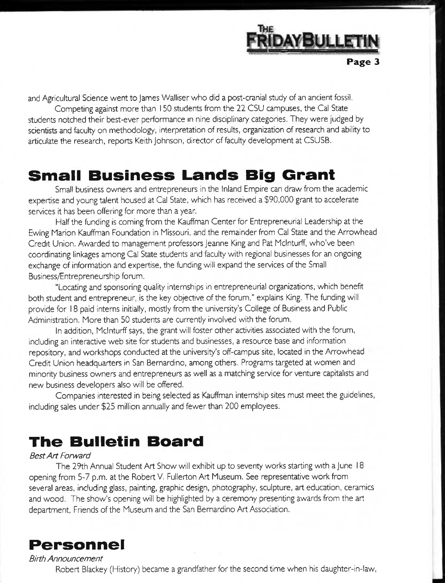

and Agricultural Science went to James Walliser who did a post-crania! study of an ancient fossil.

Competing against more than 150 students from the 22 CSU campuses, the Gal State students notched their best-ever performance in nine disciplinary categories. They were judged by scientists and faculty on methodology, interpretation of results, organization of research and ability to articulate the research, reports Keith Johnson, director of faculty development at CSUSB.

## **Small Business Lands Big Grant**

Small business owners and entrepreneurs in the inland Empire can draw from the academic expertise and young talent housed at Gal State, which has received a \$90,000 grant to accelerate services it has been offering for more than a year.

Half the funding is coming from the Kauffman Center for Entrepreneurial Leadership at the Ewing Marion Kauffman Foundation in Missouri, and the remainder from Gal State and the Arrowhead Credit Union. Awarded to management professors Jeanne King and Pat Mclnturff, who've been coordinating linkages among Gal State students and faculty with regional businesses for an ongoing exchange of information and expertise, the funding will expand the services of the Small Business/Entrepreneurship forum.

"Locating and sponsoring quality internships in entrepreneurial organizations, which benefit both student and entrepreneur, is the key objective of the forum," explains King. The funding will provide for 18 paid interns initially, mostly from the university's College of Business and Public Administration. More than 50 students are currently involved with the forum,

In addition, Mclnturff says, the grant will foster other activities associated with the forum, including an interactive web site for students and businesses, a resource base and information repository, and workshops conducted at the university's off-campus site, located in the Arrowhead Credit Union headquarters in San Bernardino, among others. Programs targeted at women and minority business owners and entrepreneurs as well as a matching service for venture capitalists and new business developers also will be offered.

Companies interested in being selected as Kauffman internship sites must meet the guidelines, including sales under \$25 million annually and fewer than 200 employees.

## **The Bulletin Board**

#### *Best Art Forward*

The 29th Annual Student Art Show will exhibit up to seventy works starting with a June 18 opening from 5-7 p.m. at the Robert V, Fullerton Art Museum. See representative work from several areas, including glass, painting, graphic design, photography, sculpture, art education, ceramics and wood. The show's opening will be highlighted by a ceremony presenting awards from the art department. Friends of the Museum and the San Bernardino Art Association.



*Birth Announcement*  Robert Blackey (History) became a grandfather for the second time when his daughter-in-law.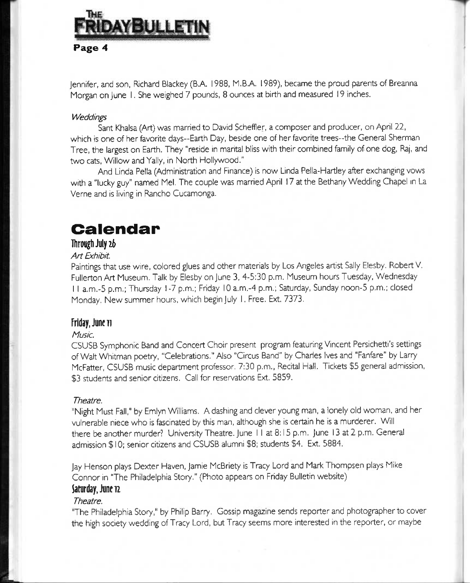# ayBullet Page 4

Jennifer, and son, Richard Blackey (B.A. 1988, M.B.A. 1989), became the proud parents of Breanna Morgan on June I. She weighed 7 pounds, 8 ounces at birth and measured 19 inches.

#### *Weddings*

Sant Khalsa (Art) was married to David Scheffler, a composer and producer, on April 22, which is one of her favorite days--Earth Day, beside one of her favorite trees--the General Sherman Tree, the largest on Earth. They "reside in marital bliss with their combined family of one dog. Raj, and two cats, Willow and Yally, in North Hollywood."

And Linda Pella (Administration and Finance) is now Linda Pella-Hartley after exchanging vows with a "lucky guy" named Mel. The couple was married April 17 at the Bethany Wedding Chapel in La Verne and is living in Rancho Cucamonga.

## **Calendar**

#### **llirotighJiilyz6**

#### **Art Exhibit.**

Paintings that use wire, colored glues and other materials by Los Angeles artist Sally Elesby. Robert V. Fullerton Art Museum. Talk by Elesby on June 3, 4-5:30 p.m. Museum hours Tuesday, Wednesday I I a.m.-5 p.m.; Thursday 1-7 p.m.; Friday 10 a.m.-4 p.m.; Saturday, Sunday noon-5 p.m.; closed Monday. New summer hours, which begin July 1. Free. Ext. 7373.

#### **Friday, June 11**

#### *Music.*

CSUSB Symphonic Band and Concert Choir present program featuring Vincent Persichetti's settings of Walt Whitman poetry, "Celebrations." Also "Circus Band" by Charles Ives and "Fanfare" by Larry McFatter, CSUSB music department professor. 7:30 p.m.. Recital Hall. Tickets \$5 general admission, \$3 students and senior citizens. Call for reservations Ext. 5859.

#### *Theatre.*

"Night Must Fall," by Emlyn Williams. A dashing and clever young man, a lonely old woman, and her vulnerable niece who is fascinated by this man, although she is certain he is a murderer. Will there be another murder? University Theatre. June 11 at 8:15 p.m. June 13 at 2 p.m. General admission \$ 10; senior citizens and CSUSB alumni \$8; students \$4. Ext. 5884.

Jay Henson plays Dexter Haven, Jamie McBriety is Tracy Lord and Mark Thompsen plays Mike Connor in "The Philadelphia Story." (Photo appears on Friday Bulletin website) **^turday.Juneiz** 

#### *Theatre.*

"The Philadelphia Story," by Philip Barry. Gossip magazine sends reporter and photographer to cover the high society wedding of Tracy Lord, but Tracy seems more interested in the reporter, or maybe